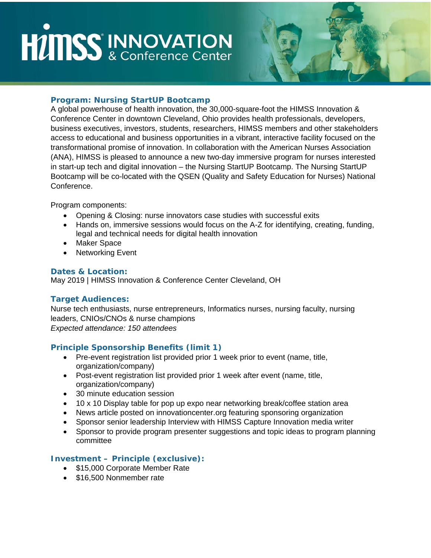# **HIMSS INNOVATION**



### **Program: Nursing StartUP Bootcamp**

A global powerhouse of health innovation, the 30,000-square-foot the HIMSS Innovation & Conference Center in downtown Cleveland, Ohio provides health professionals, developers, business executives, investors, students, researchers, HIMSS members and other stakeholders access to educational and business opportunities in a vibrant, interactive facility focused on the transformational promise of innovation. In collaboration with the American Nurses Association (ANA), HIMSS is pleased to announce a new two-day immersive program for nurses interested in start-up tech and digital innovation – the Nursing StartUP Bootcamp. The Nursing StartUP Bootcamp will be co-located with the QSEN (Quality and Safety Education for Nurses) National Conference.

Program components:

- Opening & Closing: nurse innovators case studies with successful exits
- Hands on, immersive sessions would focus on the A-Z for identifying, creating, funding, legal and technical needs for digital health innovation
- Maker Space
- Networking Event

#### **Dates & Location:**

May 2019 | HIMSS Innovation & Conference Center Cleveland, OH

#### **Target Audiences:**

Nurse tech enthusiasts, nurse entrepreneurs, Informatics nurses, nursing faculty, nursing leaders, CNIOs/CNOs & nurse champions *Expected attendance: 150 attendees* 

#### **Principle Sponsorship Benefits (limit 1)**

- Pre-event registration list provided prior 1 week prior to event (name, title, organization/company)
- Post-event registration list provided prior 1 week after event (name, title, organization/company)
- 30 minute education session
- 10 x 10 Display table for pop up expo near networking break/coffee station area
- News article posted on innovationcenter.org featuring sponsoring organization
- Sponsor senior leadership Interview with HIMSS Capture Innovation media writer
- Sponsor to provide program presenter suggestions and topic ideas to program planning committee

#### **Investment – Principle (exclusive):**

- \$15,000 Corporate Member Rate
- \$16,500 Nonmember rate